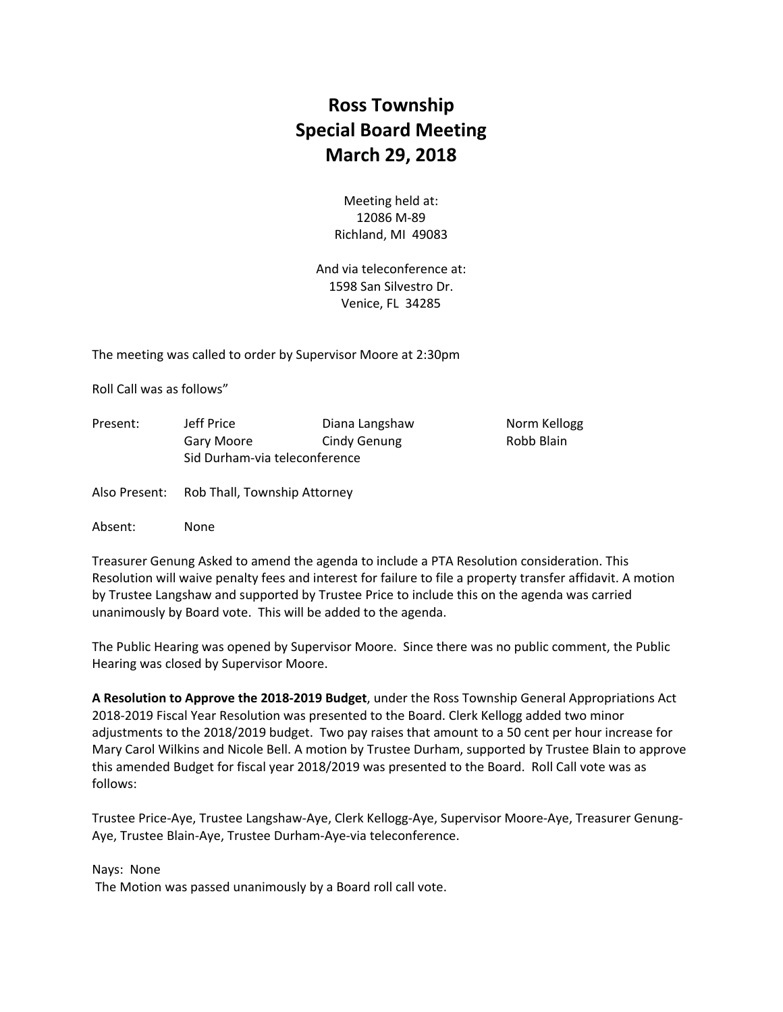## **Ross Township Special Board Meeting March 29, 2018**

Meeting held at: 12086 M‐89 Richland, MI 49083

And via teleconference at: 1598 San Silvestro Dr. Venice, FL 34285

The meeting was called to order by Supervisor Moore at 2:30pm

Roll Call was as follows"

| Present: | Jeff Price                    | Diana Langshaw | Norm Kellogg |
|----------|-------------------------------|----------------|--------------|
|          | Gary Moore                    | Cindy Genung   | Robb Blain   |
|          | Sid Durham-via teleconference |                |              |
|          |                               |                |              |

Also Present: Rob Thall, Township Attorney

Absent: None

Treasurer Genung Asked to amend the agenda to include a PTA Resolution consideration. This Resolution will waive penalty fees and interest for failure to file a property transfer affidavit. A motion by Trustee Langshaw and supported by Trustee Price to include this on the agenda was carried unanimously by Board vote. This will be added to the agenda.

The Public Hearing was opened by Supervisor Moore. Since there was no public comment, the Public Hearing was closed by Supervisor Moore.

**A Resolution to Approve the 2018‐2019 Budget**, under the Ross Township General Appropriations Act 2018‐2019 Fiscal Year Resolution was presented to the Board. Clerk Kellogg added two minor adjustments to the 2018/2019 budget. Two pay raises that amount to a 50 cent per hour increase for Mary Carol Wilkins and Nicole Bell. A motion by Trustee Durham, supported by Trustee Blain to approve this amended Budget for fiscal year 2018/2019 was presented to the Board. Roll Call vote was as follows:

Trustee Price‐Aye, Trustee Langshaw‐Aye, Clerk Kellogg‐Aye, Supervisor Moore‐Aye, Treasurer Genung‐ Aye, Trustee Blain‐Aye, Trustee Durham‐Aye‐via teleconference.

Nays: None

The Motion was passed unanimously by a Board roll call vote.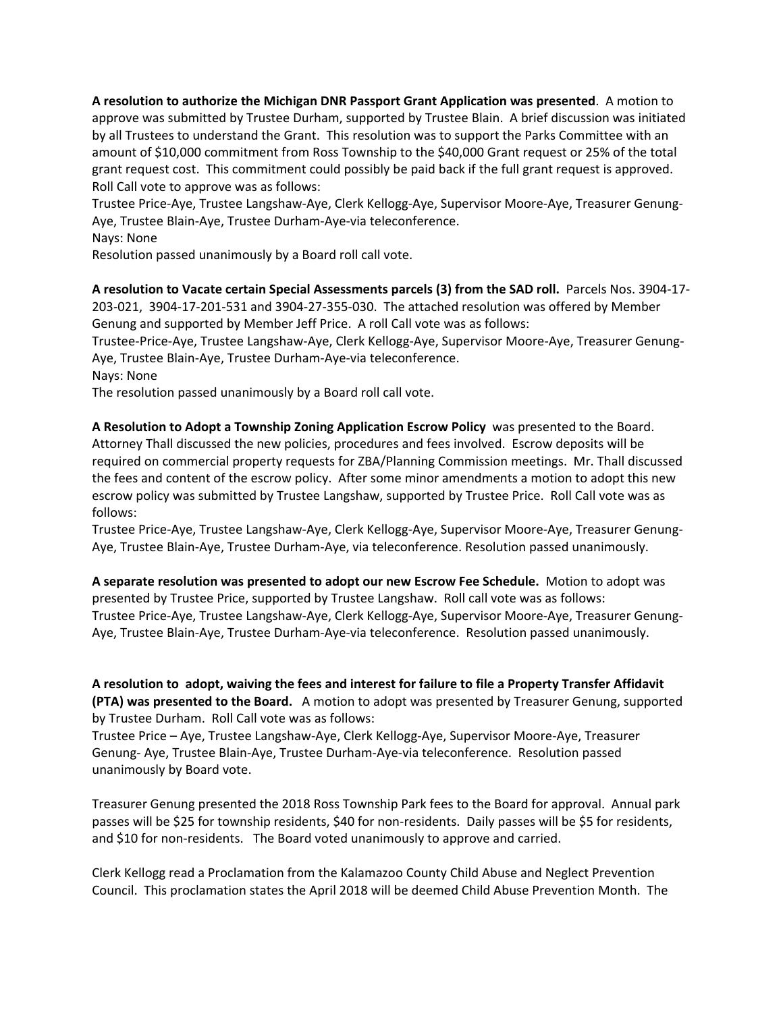**A resolution to authorize the Michigan DNR Passport Grant Application was presented**. A motion to approve was submitted by Trustee Durham, supported by Trustee Blain. A brief discussion was initiated by all Trustees to understand the Grant. This resolution was to support the Parks Committee with an amount of \$10,000 commitment from Ross Township to the \$40,000 Grant request or 25% of the total grant request cost. This commitment could possibly be paid back if the full grant request is approved. Roll Call vote to approve was as follows:

Trustee Price‐Aye, Trustee Langshaw‐Aye, Clerk Kellogg‐Aye, Supervisor Moore‐Aye, Treasurer Genung‐ Aye, Trustee Blain‐Aye, Trustee Durham‐Aye‐via teleconference.

Nays: None

Resolution passed unanimously by a Board roll call vote.

**A resolution to Vacate certain Special Assessments parcels (3) from the SAD roll.** Parcels Nos. 3904‐17‐ 203‐021, 3904‐17‐201‐531 and 3904‐27‐355‐030. The attached resolution was offered by Member Genung and supported by Member Jeff Price. A roll Call vote was as follows:

Trustee‐Price‐Aye, Trustee Langshaw‐Aye, Clerk Kellogg‐Aye, Supervisor Moore‐Aye, Treasurer Genung‐ Aye, Trustee Blain‐Aye, Trustee Durham‐Aye‐via teleconference.

Nays: None

The resolution passed unanimously by a Board roll call vote.

**A Resolution to Adopt a Township Zoning Application Escrow Policy** was presented to the Board. Attorney Thall discussed the new policies, procedures and fees involved. Escrow deposits will be required on commercial property requests for ZBA/Planning Commission meetings. Mr. Thall discussed the fees and content of the escrow policy. After some minor amendments a motion to adopt this new escrow policy was submitted by Trustee Langshaw, supported by Trustee Price. Roll Call vote was as follows:

Trustee Price‐Aye, Trustee Langshaw‐Aye, Clerk Kellogg‐Aye, Supervisor Moore‐Aye, Treasurer Genung‐ Aye, Trustee Blain‐Aye, Trustee Durham‐Aye, via teleconference. Resolution passed unanimously.

**A separate resolution was presented to adopt our new Escrow Fee Schedule.** Motion to adopt was presented by Trustee Price, supported by Trustee Langshaw. Roll call vote was as follows: Trustee Price‐Aye, Trustee Langshaw‐Aye, Clerk Kellogg‐Aye, Supervisor Moore‐Aye, Treasurer Genung‐ Aye, Trustee Blain‐Aye, Trustee Durham‐Aye‐via teleconference. Resolution passed unanimously.

A resolution to adopt, waiving the fees and interest for failure to file a Property Transfer Affidavit **(PTA) was presented to the Board.**  A motion to adopt was presented by Treasurer Genung, supported by Trustee Durham. Roll Call vote was as follows:

Trustee Price – Aye, Trustee Langshaw‐Aye, Clerk Kellogg‐Aye, Supervisor Moore‐Aye, Treasurer Genung‐ Aye, Trustee Blain‐Aye, Trustee Durham‐Aye‐via teleconference. Resolution passed unanimously by Board vote.

Treasurer Genung presented the 2018 Ross Township Park fees to the Board for approval. Annual park passes will be \$25 for township residents, \$40 for non-residents. Daily passes will be \$5 for residents, and \$10 for non-residents. The Board voted unanimously to approve and carried.

Clerk Kellogg read a Proclamation from the Kalamazoo County Child Abuse and Neglect Prevention Council. This proclamation states the April 2018 will be deemed Child Abuse Prevention Month. The